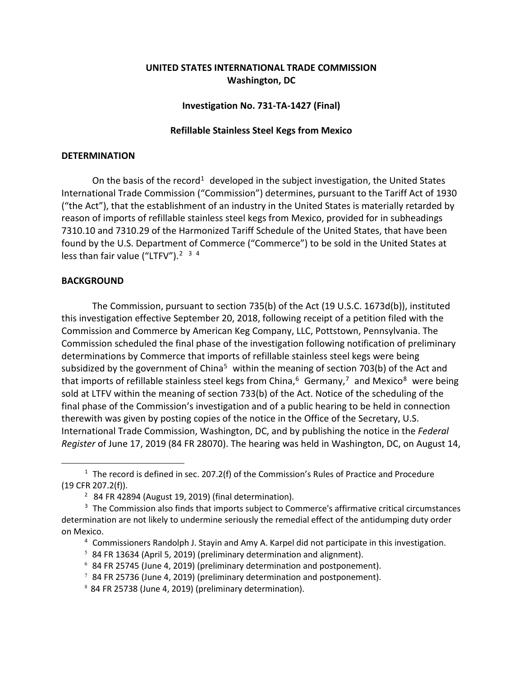# **UNITED STATES INTERNATIONAL TRADE COMMISSION Washington, DC**

## **Investigation No. 731-TA-1427 (Final)**

## **Refillable Stainless Steel Kegs from Mexico**

#### **DETERMINATION**

On the basis of the record<sup>[1](#page-0-0)</sup> developed in the subject investigation, the United States International Trade Commission ("Commission") determines, pursuant to the Tariff Act of 1930 ("the Act"), that the establishment of an industry in the United States is materially retarded by reason of imports of refillable stainless steel kegs from Mexico, provided for in subheadings 7310.10 and 7310.29 of the Harmonized Tariff Schedule of the United States, that have been found by the U.S. Department of Commerce ("Commerce") to be sold in the United States at less than fair value ("LTFV").<sup>[2](#page-0-1)</sup> <sup>[3](#page-0-2)</sup> <sup>[4](#page-0-3)</sup>

### **BACKGROUND**

 $\overline{a}$ 

The Commission, pursuant to section 735(b) of the Act (19 U.S.C. 1673d(b)), instituted this investigation effective September 20, 2018, following receipt of a petition filed with the Commission and Commerce by American Keg Company, LLC, Pottstown, Pennsylvania. The Commission scheduled the final phase of the investigation following notification of preliminary determinations by Commerce that imports of refillable stainless steel kegs were being subsidized by the government of China<sup>[5](#page-0-4)</sup> within the meaning of section 703(b) of the Act and that imports of refillable stainless steel kegs from China,<sup>[6](#page-0-5)</sup> Germany,<sup>[7](#page-0-6)</sup> and Mexico<sup>[8](#page-0-7)</sup> were being sold at LTFV within the meaning of section 733(b) of the Act. Notice of the scheduling of the final phase of the Commission's investigation and of a public hearing to be held in connection therewith was given by posting copies of the notice in the Office of the Secretary, U.S. International Trade Commission, Washington, DC, and by publishing the notice in the *Federal Register* of June 17, 2019 (84 FR 28070). The hearing was held in Washington, DC, on August 14,

<span id="page-0-0"></span> $1$  The record is defined in sec. 207.2(f) of the Commission's Rules of Practice and Procedure (19 CFR 207.2(f)).

 $2$  84 FR 42894 (August 19, 2019) (final determination).

<span id="page-0-5"></span><span id="page-0-4"></span><span id="page-0-3"></span><span id="page-0-2"></span><span id="page-0-1"></span><sup>&</sup>lt;sup>3</sup> The Commission also finds that imports subject to Commerce's affirmative critical circumstances determination are not likely to undermine seriously the remedial effect of the antidumping duty order on Mexico.

<sup>4</sup> Commissioners Randolph J. Stayin and Amy A. Karpel did not participate in this investigation.

<sup>&</sup>lt;sup>5</sup> 84 FR 13634 (April 5, 2019) (preliminary determination and alignment).

 $6$  84 FR 25745 (June 4, 2019) (preliminary determination and postponement).

<span id="page-0-6"></span> $7$  84 FR 25736 (June 4, 2019) (preliminary determination and postponement).

<span id="page-0-7"></span><sup>8</sup> 84 FR 25738 (June 4, 2019) (preliminary determination).